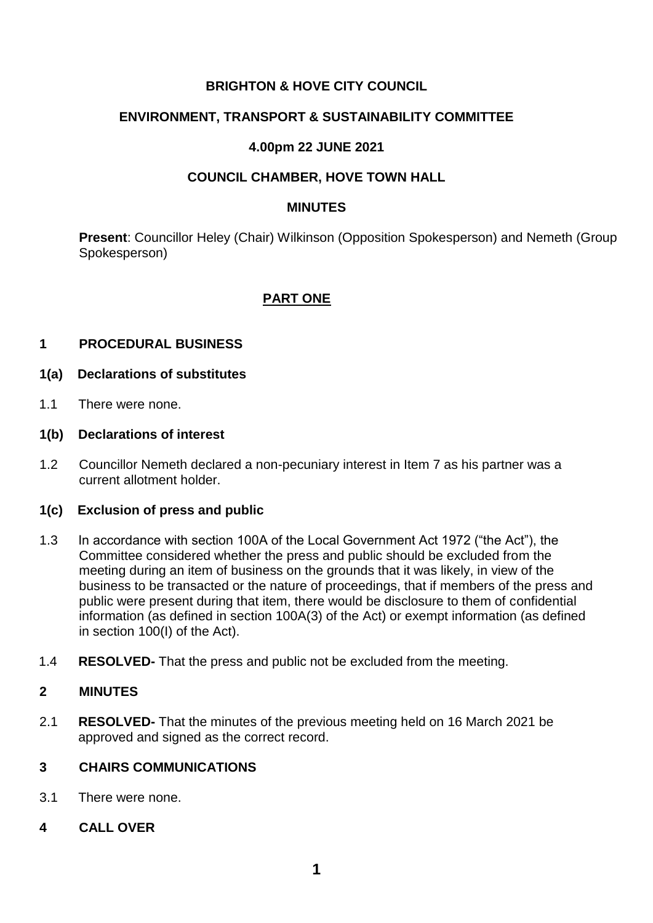# **BRIGHTON & HOVE CITY COUNCIL**

## **ENVIRONMENT, TRANSPORT & SUSTAINABILITY COMMITTEE**

# **4.00pm 22 JUNE 2021**

### **COUNCIL CHAMBER, HOVE TOWN HALL**

#### **MINUTES**

**Present**: Councillor Heley (Chair) Wilkinson (Opposition Spokesperson) and Nemeth (Group Spokesperson)

### **PART ONE**

#### **1 PROCEDURAL BUSINESS**

- **1(a) Declarations of substitutes**
- 1.1 There were none.

#### **1(b) Declarations of interest**

1.2 Councillor Nemeth declared a non-pecuniary interest in Item 7 as his partner was a current allotment holder.

#### **1(c) Exclusion of press and public**

- 1.3 In accordance with section 100A of the Local Government Act 1972 ("the Act"), the Committee considered whether the press and public should be excluded from the meeting during an item of business on the grounds that it was likely, in view of the business to be transacted or the nature of proceedings, that if members of the press and public were present during that item, there would be disclosure to them of confidential information (as defined in section 100A(3) of the Act) or exempt information (as defined in section 100(I) of the Act).
- 1.4 **RESOLVED-** That the press and public not be excluded from the meeting.

### **2 MINUTES**

2.1 **RESOLVED-** That the minutes of the previous meeting held on 16 March 2021 be approved and signed as the correct record.

### **3 CHAIRS COMMUNICATIONS**

- 3.1 There were none.
- **4 CALL OVER**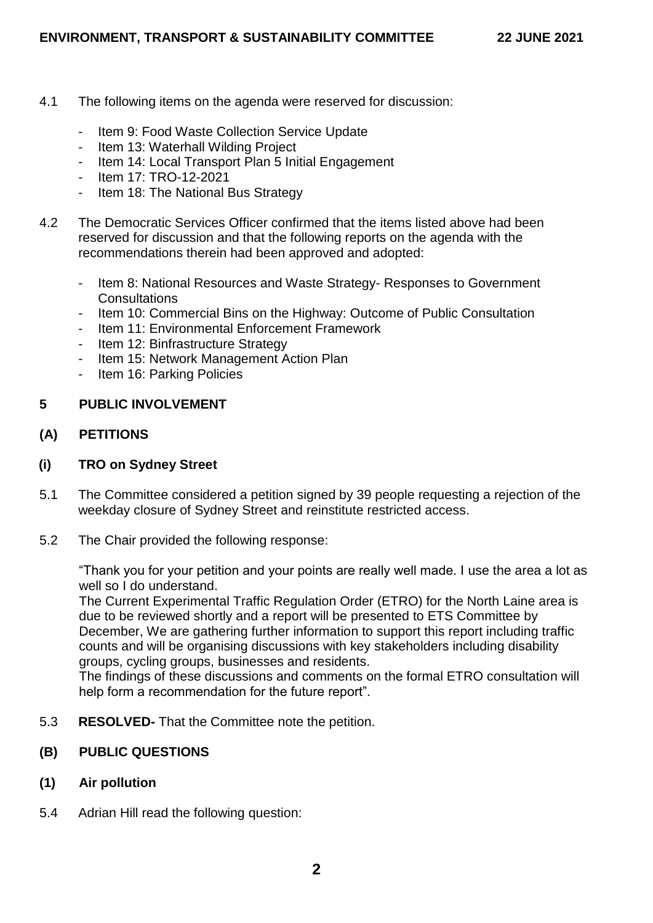- 4.1 The following items on the agenda were reserved for discussion:
	- Item 9: Food Waste Collection Service Update
	- Item 13: Waterhall Wilding Project
	- Item 14: Local Transport Plan 5 Initial Engagement
	- Item 17: TRO-12-2021
	- Item 18: The National Bus Strategy
- 4.2 The Democratic Services Officer confirmed that the items listed above had been reserved for discussion and that the following reports on the agenda with the recommendations therein had been approved and adopted:
	- Item 8: National Resources and Waste Strategy- Responses to Government **Consultations**
	- Item 10: Commercial Bins on the Highway: Outcome of Public Consultation
	- Item 11: Environmental Enforcement Framework
	- Item 12: Binfrastructure Strategy
	- Item 15: Network Management Action Plan
	- Item 16: Parking Policies

# **5 PUBLIC INVOLVEMENT**

# **(A) PETITIONS**

# **(i) TRO on Sydney Street**

- 5.1 The Committee considered a petition signed by 39 people requesting a rejection of the weekday closure of Sydney Street and reinstitute restricted access.
- 5.2 The Chair provided the following response:

"Thank you for your petition and your points are really well made. I use the area a lot as well so I do understand.

The Current Experimental Traffic Regulation Order (ETRO) for the North Laine area is due to be reviewed shortly and a report will be presented to ETS Committee by December, We are gathering further information to support this report including traffic counts and will be organising discussions with key stakeholders including disability groups, cycling groups, businesses and residents.

The findings of these discussions and comments on the formal ETRO consultation will help form a recommendation for the future report".

- 5.3 **RESOLVED-** That the Committee note the petition.
- **(B) PUBLIC QUESTIONS**
- **(1) Air pollution**
- 5.4 Adrian Hill read the following question: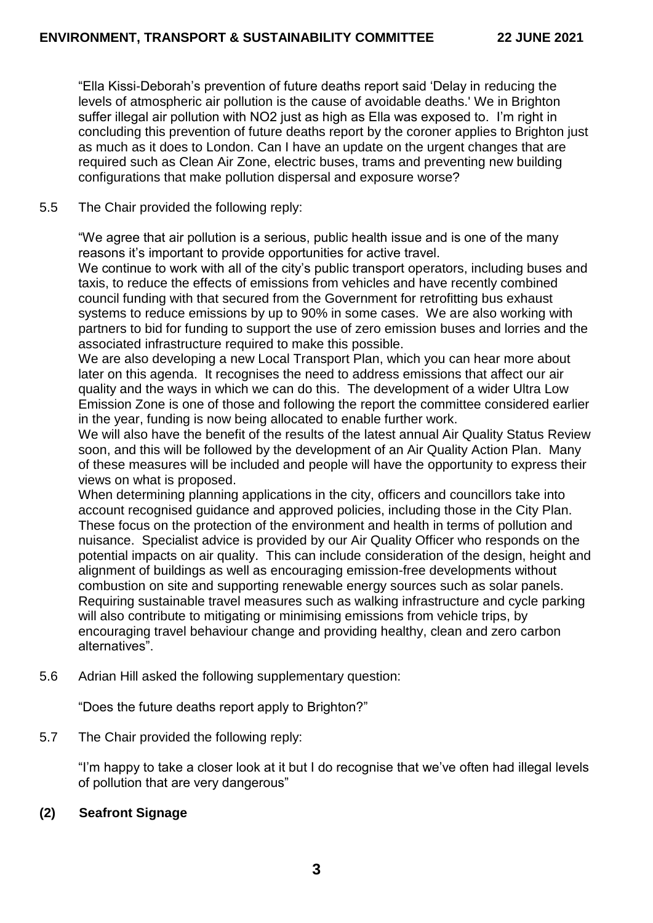"Ella Kissi-Deborah's prevention of future deaths report said 'Delay in reducing the levels of atmospheric air pollution is the cause of avoidable deaths.' We in Brighton suffer illegal air pollution with NO2 just as high as Ella was exposed to. I'm right in concluding this prevention of future deaths report by the coroner applies to Brighton just as much as it does to London. Can I have an update on the urgent changes that are required such as Clean Air Zone, electric buses, trams and preventing new building configurations that make pollution dispersal and exposure worse?

# 5.5 The Chair provided the following reply:

"We agree that air pollution is a serious, public health issue and is one of the many reasons it's important to provide opportunities for active travel.

We continue to work with all of the city's public transport operators, including buses and taxis, to reduce the effects of emissions from vehicles and have recently combined council funding with that secured from the Government for retrofitting bus exhaust systems to reduce emissions by up to 90% in some cases. We are also working with partners to bid for funding to support the use of zero emission buses and lorries and the associated infrastructure required to make this possible.

We are also developing a new Local Transport Plan, which you can hear more about later on this agenda. It recognises the need to address emissions that affect our air quality and the ways in which we can do this. The development of a wider Ultra Low Emission Zone is one of those and following the report the committee considered earlier in the year, funding is now being allocated to enable further work.

We will also have the benefit of the results of the latest annual Air Quality Status Review soon, and this will be followed by the development of an Air Quality Action Plan. Many of these measures will be included and people will have the opportunity to express their views on what is proposed.

When determining planning applications in the city, officers and councillors take into account recognised guidance and approved policies, including those in the City Plan. These focus on the protection of the environment and health in terms of pollution and nuisance. Specialist advice is provided by our Air Quality Officer who responds on the potential impacts on air quality. This can include consideration of the design, height and alignment of buildings as well as encouraging emission-free developments without combustion on site and supporting renewable energy sources such as solar panels. Requiring sustainable travel measures such as walking infrastructure and cycle parking will also contribute to mitigating or minimising emissions from vehicle trips, by encouraging travel behaviour change and providing healthy, clean and zero carbon alternatives".

5.6 Adrian Hill asked the following supplementary question:

"Does the future deaths report apply to Brighton?"

5.7 The Chair provided the following reply:

"I'm happy to take a closer look at it but I do recognise that we've often had illegal levels of pollution that are very dangerous"

# **(2) Seafront Signage**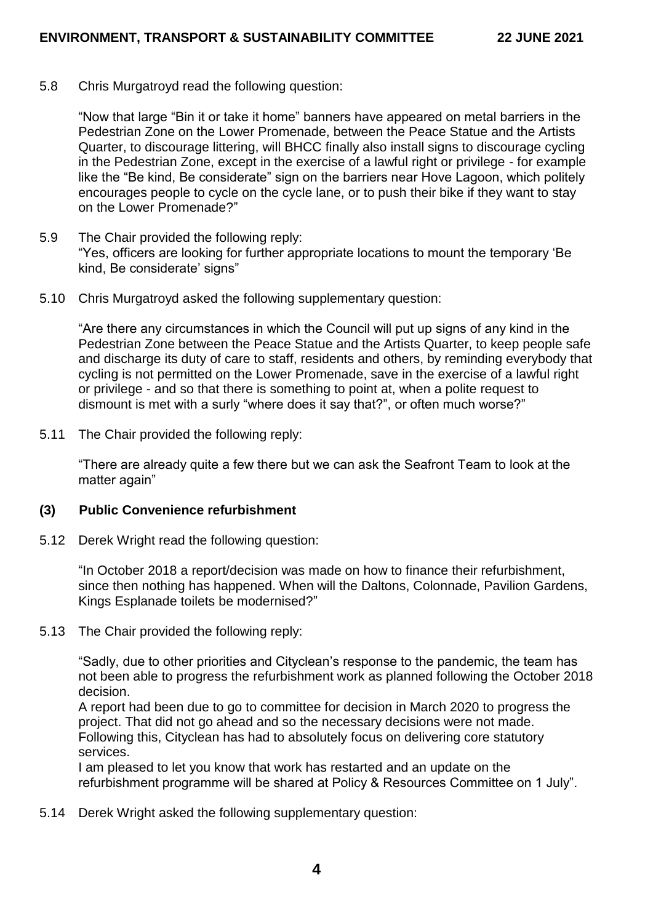5.8 Chris Murgatroyd read the following question:

"Now that large "Bin it or take it home" banners have appeared on metal barriers in the Pedestrian Zone on the Lower Promenade, between the Peace Statue and the Artists Quarter, to discourage littering, will BHCC finally also install signs to discourage cycling in the Pedestrian Zone, except in the exercise of a lawful right or privilege - for example like the "Be kind, Be considerate" sign on the barriers near Hove Lagoon, which politely encourages people to cycle on the cycle lane, or to push their bike if they want to stay on the Lower Promenade?"

- 5.9 The Chair provided the following reply: "Yes, officers are looking for further appropriate locations to mount the temporary 'Be kind, Be considerate' signs"
- 5.10 Chris Murgatroyd asked the following supplementary question:

"Are there any circumstances in which the Council will put up signs of any kind in the Pedestrian Zone between the Peace Statue and the Artists Quarter, to keep people safe and discharge its duty of care to staff, residents and others, by reminding everybody that cycling is not permitted on the Lower Promenade, save in the exercise of a lawful right or privilege - and so that there is something to point at, when a polite request to dismount is met with a surly "where does it say that?", or often much worse?"

5.11 The Chair provided the following reply:

"There are already quite a few there but we can ask the Seafront Team to look at the matter again"

#### **(3) Public Convenience refurbishment**

5.12 Derek Wright read the following question:

"In October 2018 a report/decision was made on how to finance their refurbishment, since then nothing has happened. When will the Daltons, Colonnade, Pavilion Gardens, Kings Esplanade toilets be modernised?"

5.13 The Chair provided the following reply:

"Sadly, due to other priorities and Cityclean's response to the pandemic, the team has not been able to progress the refurbishment work as planned following the October 2018 decision.

A report had been due to go to committee for decision in March 2020 to progress the project. That did not go ahead and so the necessary decisions were not made. Following this, Cityclean has had to absolutely focus on delivering core statutory services.

I am pleased to let you know that work has restarted and an update on the refurbishment programme will be shared at Policy & Resources Committee on 1 July".

5.14 Derek Wright asked the following supplementary question: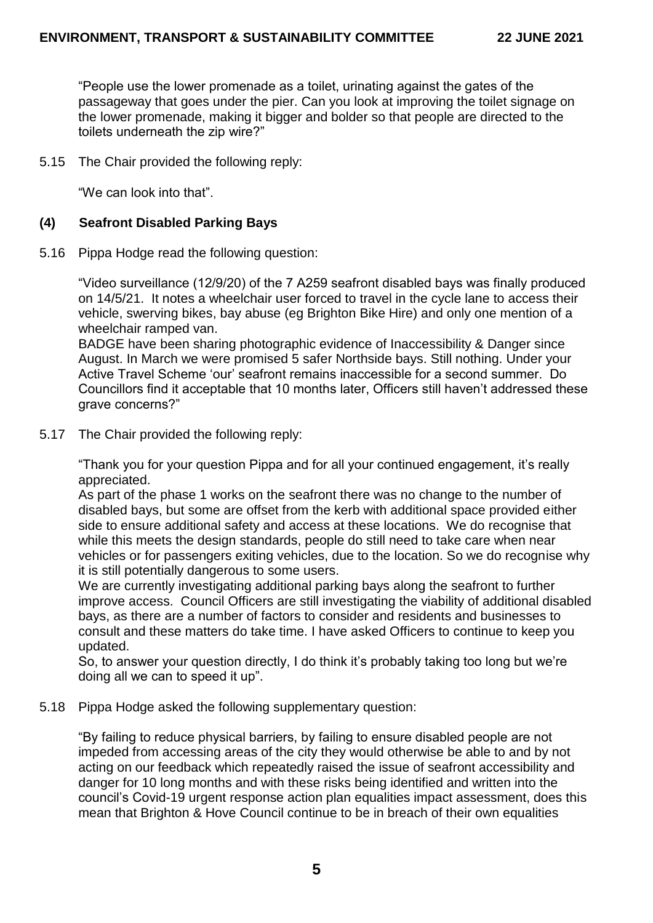"People use the lower promenade as a toilet, urinating against the gates of the passageway that goes under the pier. Can you look at improving the toilet signage on the lower promenade, making it bigger and bolder so that people are directed to the toilets underneath the zip wire?"

5.15 The Chair provided the following reply:

"We can look into that".

# **(4) Seafront Disabled Parking Bays**

5.16 Pippa Hodge read the following question:

"Video surveillance (12/9/20) of the 7 A259 seafront disabled bays was finally produced on 14/5/21. It notes a wheelchair user forced to travel in the cycle lane to access their vehicle, swerving bikes, bay abuse (eg Brighton Bike Hire) and only one mention of a wheelchair ramped van.

BADGE have been sharing photographic evidence of Inaccessibility & Danger since August. In March we were promised 5 safer Northside bays. Still nothing. Under your Active Travel Scheme 'our' seafront remains inaccessible for a second summer. Do Councillors find it acceptable that 10 months later, Officers still haven't addressed these grave concerns?"

5.17 The Chair provided the following reply:

"Thank you for your question Pippa and for all your continued engagement, it's really appreciated.

As part of the phase 1 works on the seafront there was no change to the number of disabled bays, but some are offset from the kerb with additional space provided either side to ensure additional safety and access at these locations. We do recognise that while this meets the design standards, people do still need to take care when near vehicles or for passengers exiting vehicles, due to the location. So we do recognise why it is still potentially dangerous to some users.

We are currently investigating additional parking bays along the seafront to further improve access. Council Officers are still investigating the viability of additional disabled bays, as there are a number of factors to consider and residents and businesses to consult and these matters do take time. I have asked Officers to continue to keep you updated.

So, to answer your question directly, I do think it's probably taking too long but we're doing all we can to speed it up".

5.18 Pippa Hodge asked the following supplementary question:

"By failing to reduce physical barriers, by failing to ensure disabled people are not impeded from accessing areas of the city they would otherwise be able to and by not acting on our feedback which repeatedly raised the issue of seafront accessibility and danger for 10 long months and with these risks being identified and written into the council's Covid-19 urgent response action plan equalities impact assessment, does this mean that Brighton & Hove Council continue to be in breach of their own equalities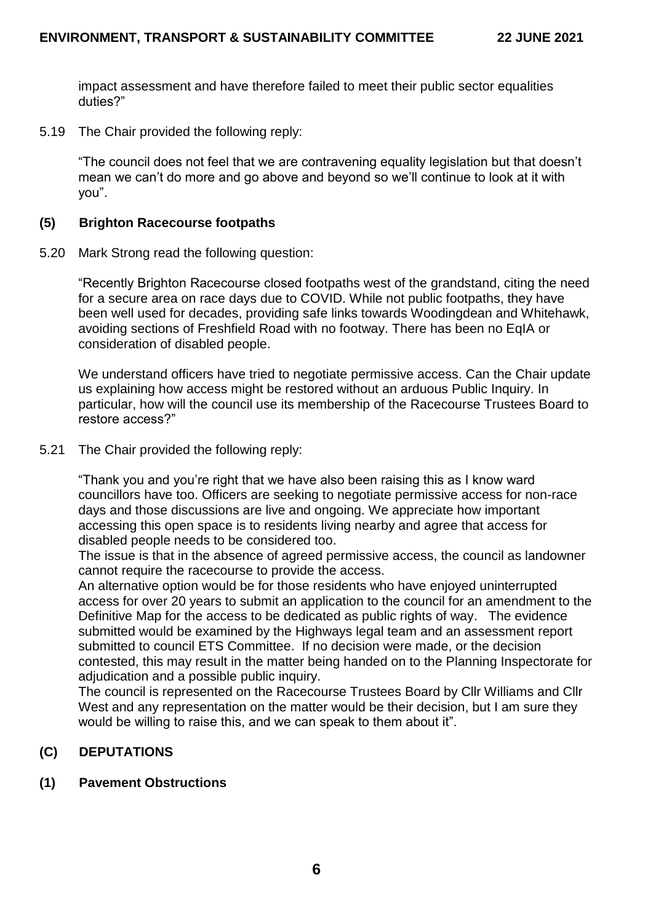impact assessment and have therefore failed to meet their public sector equalities duties?"

5.19 The Chair provided the following reply:

"The council does not feel that we are contravening equality legislation but that doesn't mean we can't do more and go above and beyond so we'll continue to look at it with you".

#### **(5) Brighton Racecourse footpaths**

5.20 Mark Strong read the following question:

"Recently Brighton Racecourse closed footpaths west of the grandstand, citing the need for a secure area on race days due to COVID. While not public footpaths, they have been well used for decades, providing safe links towards Woodingdean and Whitehawk, avoiding sections of Freshfield Road with no footway. There has been no EqIA or consideration of disabled people.

We understand officers have tried to negotiate permissive access. Can the Chair update us explaining how access might be restored without an arduous Public Inquiry. In particular, how will the council use its membership of the Racecourse Trustees Board to restore access?"

5.21 The Chair provided the following reply:

"Thank you and you're right that we have also been raising this as I know ward councillors have too. Officers are seeking to negotiate permissive access for non-race days and those discussions are live and ongoing. We appreciate how important accessing this open space is to residents living nearby and agree that access for disabled people needs to be considered too.

The issue is that in the absence of agreed permissive access, the council as landowner cannot require the racecourse to provide the access.

An alternative option would be for those residents who have enjoyed uninterrupted access for over 20 years to submit an application to the council for an amendment to the Definitive Map for the access to be dedicated as public rights of way. The evidence submitted would be examined by the Highways legal team and an assessment report submitted to council ETS Committee. If no decision were made, or the decision contested, this may result in the matter being handed on to the Planning Inspectorate for adjudication and a possible public inquiry.

The council is represented on the Racecourse Trustees Board by Cllr Williams and Cllr West and any representation on the matter would be their decision, but I am sure they would be willing to raise this, and we can speak to them about it".

# **(C) DEPUTATIONS**

### **(1) Pavement Obstructions**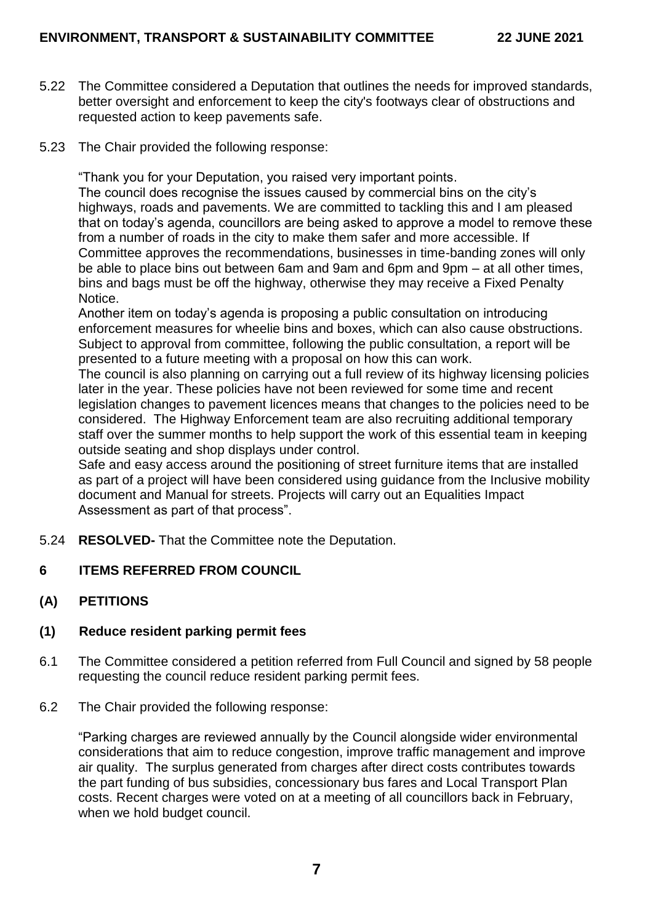- 5.22 The Committee considered a Deputation that outlines the needs for improved standards, better oversight and enforcement to keep the city's footways clear of obstructions and requested action to keep pavements safe.
- 5.23 The Chair provided the following response:

"Thank you for your Deputation, you raised very important points.

The council does recognise the issues caused by commercial bins on the city's highways, roads and pavements. We are committed to tackling this and I am pleased that on today's agenda, councillors are being asked to approve a model to remove these from a number of roads in the city to make them safer and more accessible. If Committee approves the recommendations, businesses in time-banding zones will only be able to place bins out between 6am and 9am and 6pm and 9pm – at all other times, bins and bags must be off the highway, otherwise they may receive a Fixed Penalty Notice.

Another item on today's agenda is proposing a public consultation on introducing enforcement measures for wheelie bins and boxes, which can also cause obstructions. Subject to approval from committee, following the public consultation, a report will be presented to a future meeting with a proposal on how this can work.

The council is also planning on carrying out a full review of its highway licensing policies later in the year. These policies have not been reviewed for some time and recent legislation changes to pavement licences means that changes to the policies need to be considered. The Highway Enforcement team are also recruiting additional temporary staff over the summer months to help support the work of this essential team in keeping outside seating and shop displays under control.

Safe and easy access around the positioning of street furniture items that are installed as part of a project will have been considered using guidance from the Inclusive mobility document and Manual for streets. Projects will carry out an Equalities Impact Assessment as part of that process".

- 5.24 **RESOLVED-** That the Committee note the Deputation.
- **6 ITEMS REFERRED FROM COUNCIL**
- **(A) PETITIONS**

# **(1) Reduce resident parking permit fees**

- 6.1 The Committee considered a petition referred from Full Council and signed by 58 people requesting the council reduce resident parking permit fees.
- 6.2 The Chair provided the following response:

"Parking charges are reviewed annually by the Council alongside wider environmental considerations that aim to reduce congestion, improve traffic management and improve air quality. The surplus generated from charges after direct costs contributes towards the part funding of bus subsidies, concessionary bus fares and Local Transport Plan costs. Recent charges were voted on at a meeting of all councillors back in February, when we hold budget council.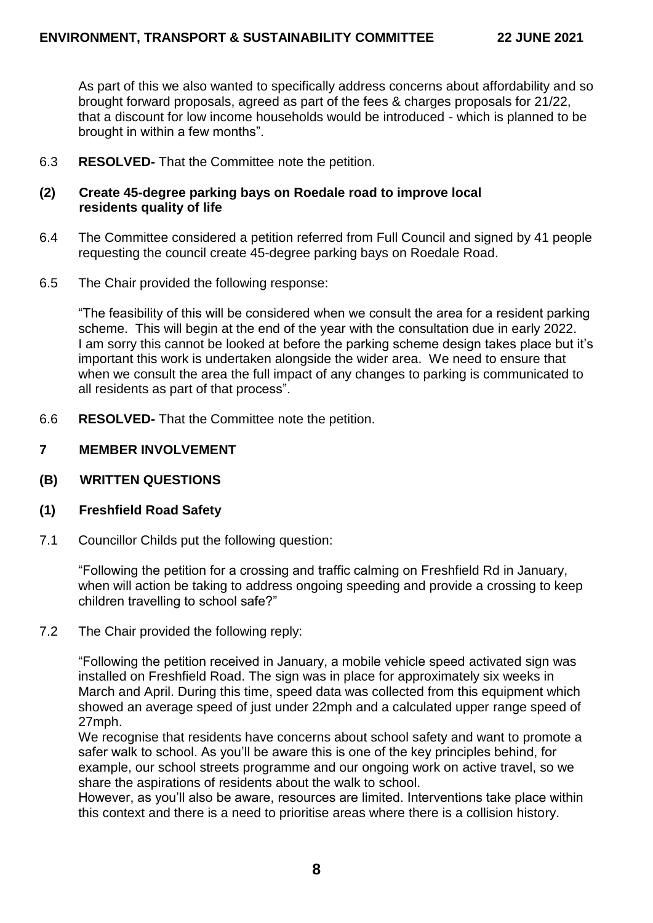As part of this we also wanted to specifically address concerns about affordability and so brought forward proposals, agreed as part of the fees & charges proposals for 21/22, that a discount for low income households would be introduced - which is planned to be brought in within a few months".

- 6.3 **RESOLVED-** That the Committee note the petition.
- **(2) Create 45-degree parking bays on Roedale road to improve local residents quality of life**
- 6.4 The Committee considered a petition referred from Full Council and signed by 41 people requesting the council create 45-degree parking bays on Roedale Road.
- 6.5 The Chair provided the following response:

"The feasibility of this will be considered when we consult the area for a resident parking scheme. This will begin at the end of the year with the consultation due in early 2022. I am sorry this cannot be looked at before the parking scheme design takes place but it's important this work is undertaken alongside the wider area. We need to ensure that when we consult the area the full impact of any changes to parking is communicated to all residents as part of that process".

- 6.6 **RESOLVED-** That the Committee note the petition.
- **7 MEMBER INVOLVEMENT**
- **(B) WRITTEN QUESTIONS**
- **(1) Freshfield Road Safety**
- 7.1 Councillor Childs put the following question:

"Following the petition for a crossing and traffic calming on Freshfield Rd in January, when will action be taking to address ongoing speeding and provide a crossing to keep children travelling to school safe?"

7.2 The Chair provided the following reply:

"Following the petition received in January, a mobile vehicle speed activated sign was installed on Freshfield Road. The sign was in place for approximately six weeks in March and April. During this time, speed data was collected from this equipment which showed an average speed of just under 22mph and a calculated upper range speed of 27mph.

We recognise that residents have concerns about school safety and want to promote a safer walk to school. As you'll be aware this is one of the key principles behind, for example, our school streets programme and our ongoing work on active travel, so we share the aspirations of residents about the walk to school.

However, as you'll also be aware, resources are limited. Interventions take place within this context and there is a need to prioritise areas where there is a collision history.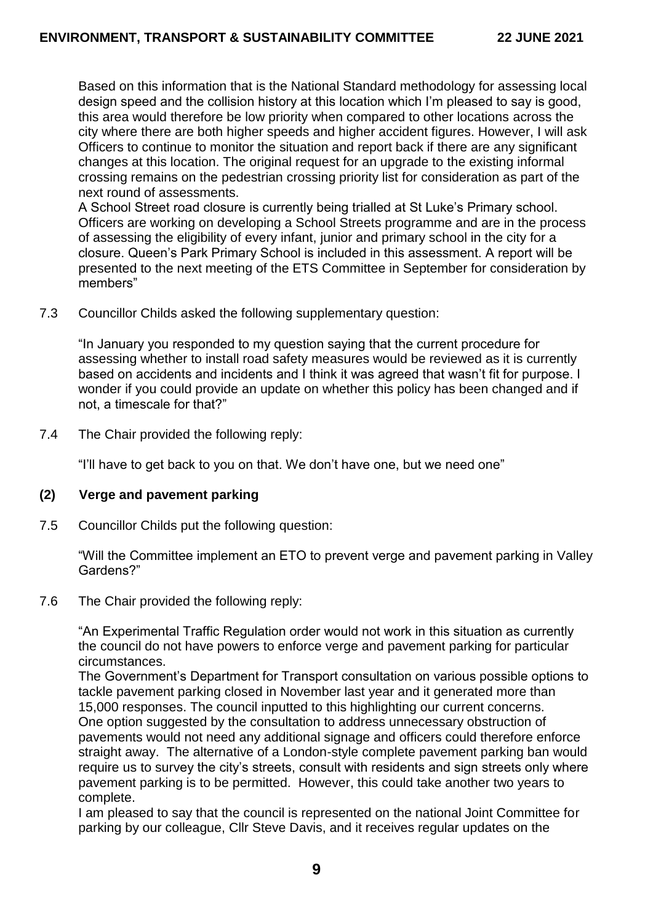Based on this information that is the National Standard methodology for assessing local design speed and the collision history at this location which I'm pleased to say is good, this area would therefore be low priority when compared to other locations across the city where there are both higher speeds and higher accident figures. However, I will ask Officers to continue to monitor the situation and report back if there are any significant changes at this location. The original request for an upgrade to the existing informal crossing remains on the pedestrian crossing priority list for consideration as part of the next round of assessments.

A School Street road closure is currently being trialled at St Luke's Primary school. Officers are working on developing a School Streets programme and are in the process of assessing the eligibility of every infant, junior and primary school in the city for a closure. Queen's Park Primary School is included in this assessment. A report will be presented to the next meeting of the ETS Committee in September for consideration by members"

7.3 Councillor Childs asked the following supplementary question:

"In January you responded to my question saying that the current procedure for assessing whether to install road safety measures would be reviewed as it is currently based on accidents and incidents and I think it was agreed that wasn't fit for purpose. I wonder if you could provide an update on whether this policy has been changed and if not, a timescale for that?"

7.4 The Chair provided the following reply:

"I'll have to get back to you on that. We don't have one, but we need one"

# **(2) Verge and pavement parking**

7.5 Councillor Childs put the following question:

"Will the Committee implement an ETO to prevent verge and pavement parking in Valley Gardens?"

7.6 The Chair provided the following reply:

"An Experimental Traffic Regulation order would not work in this situation as currently the council do not have powers to enforce verge and pavement parking for particular circumstances.

The Government's Department for Transport consultation on various possible options to tackle pavement parking closed in November last year and it generated more than 15,000 responses. The council inputted to this highlighting our current concerns. One option suggested by the consultation to address unnecessary obstruction of pavements would not need any additional signage and officers could therefore enforce straight away. The alternative of a London-style complete pavement parking ban would require us to survey the city's streets, consult with residents and sign streets only where pavement parking is to be permitted. However, this could take another two years to complete.

I am pleased to say that the council is represented on the national Joint Committee for parking by our colleague, Cllr Steve Davis, and it receives regular updates on the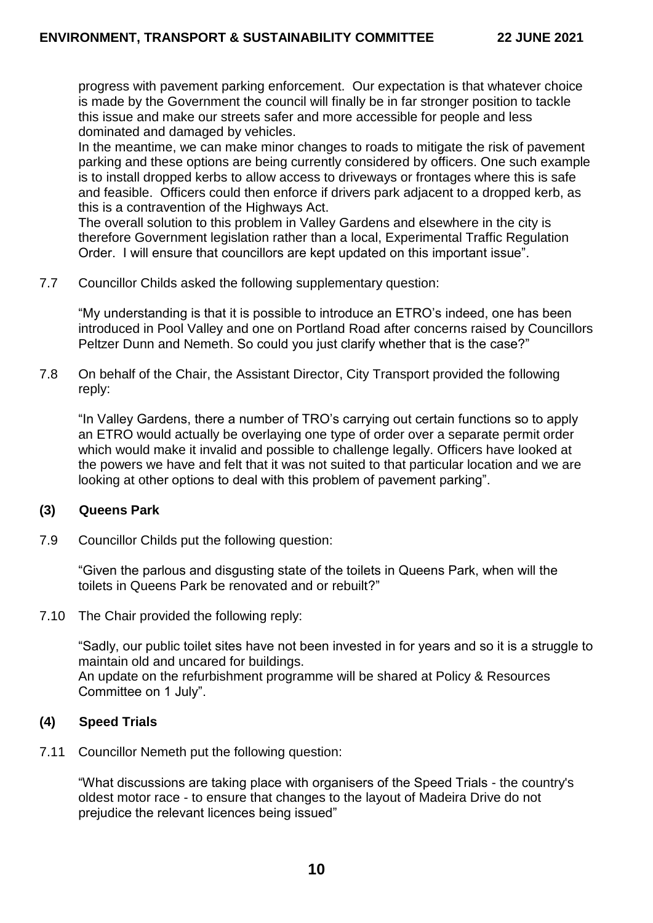progress with pavement parking enforcement. Our expectation is that whatever choice is made by the Government the council will finally be in far stronger position to tackle this issue and make our streets safer and more accessible for people and less dominated and damaged by vehicles.

In the meantime, we can make minor changes to roads to mitigate the risk of pavement parking and these options are being currently considered by officers. One such example is to install dropped kerbs to allow access to driveways or frontages where this is safe and feasible. Officers could then enforce if drivers park adjacent to a dropped kerb, as this is a contravention of the Highways Act.

The overall solution to this problem in Valley Gardens and elsewhere in the city is therefore Government legislation rather than a local, Experimental Traffic Regulation Order. I will ensure that councillors are kept updated on this important issue".

7.7 Councillor Childs asked the following supplementary question:

"My understanding is that it is possible to introduce an ETRO's indeed, one has been introduced in Pool Valley and one on Portland Road after concerns raised by Councillors Peltzer Dunn and Nemeth. So could you just clarify whether that is the case?"

7.8 On behalf of the Chair, the Assistant Director, City Transport provided the following reply:

"In Valley Gardens, there a number of TRO's carrying out certain functions so to apply an ETRO would actually be overlaying one type of order over a separate permit order which would make it invalid and possible to challenge legally. Officers have looked at the powers we have and felt that it was not suited to that particular location and we are looking at other options to deal with this problem of pavement parking".

#### **(3) Queens Park**

7.9 Councillor Childs put the following question:

"Given the parlous and disgusting state of the toilets in Queens Park, when will the toilets in Queens Park be renovated and or rebuilt?"

7.10 The Chair provided the following reply:

"Sadly, our public toilet sites have not been invested in for years and so it is a struggle to maintain old and uncared for buildings. An update on the refurbishment programme will be shared at Policy & Resources

Committee on 1 July".

### **(4) Speed Trials**

7.11 Councillor Nemeth put the following question:

"What discussions are taking place with organisers of the Speed Trials - the country's oldest motor race - to ensure that changes to the layout of Madeira Drive do not prejudice the relevant licences being issued"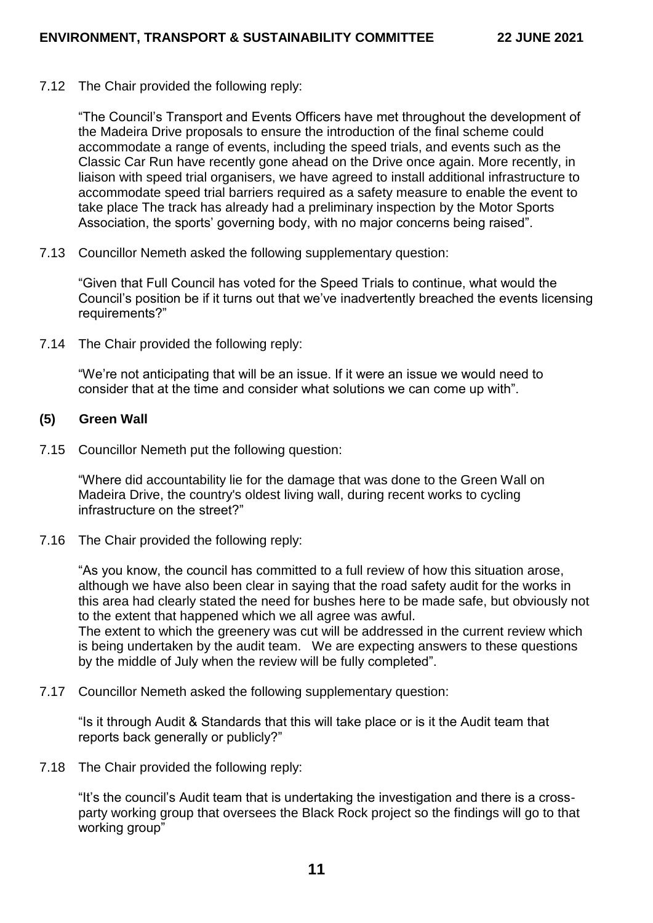7.12 The Chair provided the following reply:

"The Council's Transport and Events Officers have met throughout the development of the Madeira Drive proposals to ensure the introduction of the final scheme could accommodate a range of events, including the speed trials, and events such as the Classic Car Run have recently gone ahead on the Drive once again. More recently, in liaison with speed trial organisers, we have agreed to install additional infrastructure to accommodate speed trial barriers required as a safety measure to enable the event to take place The track has already had a preliminary inspection by the Motor Sports Association, the sports' governing body, with no major concerns being raised".

7.13 Councillor Nemeth asked the following supplementary question:

"Given that Full Council has voted for the Speed Trials to continue, what would the Council's position be if it turns out that we've inadvertently breached the events licensing requirements?"

7.14 The Chair provided the following reply:

"We're not anticipating that will be an issue. If it were an issue we would need to consider that at the time and consider what solutions we can come up with".

#### **(5) Green Wall**

7.15 Councillor Nemeth put the following question:

"Where did accountability lie for the damage that was done to the Green Wall on Madeira Drive, the country's oldest living wall, during recent works to cycling infrastructure on the street?"

7.16 The Chair provided the following reply:

"As you know, the council has committed to a full review of how this situation arose, although we have also been clear in saying that the road safety audit for the works in this area had clearly stated the need for bushes here to be made safe, but obviously not to the extent that happened which we all agree was awful. The extent to which the greenery was cut will be addressed in the current review which is being undertaken by the audit team. We are expecting answers to these questions by the middle of July when the review will be fully completed".

7.17 Councillor Nemeth asked the following supplementary question:

"Is it through Audit & Standards that this will take place or is it the Audit team that reports back generally or publicly?"

7.18 The Chair provided the following reply:

"It's the council's Audit team that is undertaking the investigation and there is a crossparty working group that oversees the Black Rock project so the findings will go to that working group"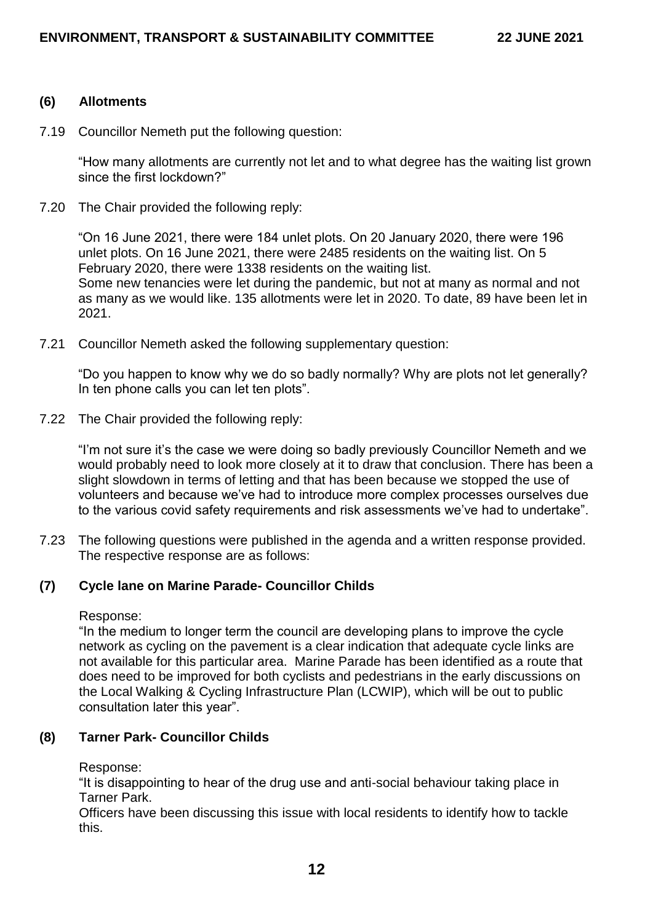#### **(6) Allotments**

7.19 Councillor Nemeth put the following question:

"How many allotments are currently not let and to what degree has the waiting list grown since the first lockdown?"

7.20 The Chair provided the following reply:

"On 16 June 2021, there were 184 unlet plots. On 20 January 2020, there were 196 unlet plots. On 16 June 2021, there were 2485 residents on the waiting list. On 5 February 2020, there were 1338 residents on the waiting list. Some new tenancies were let during the pandemic, but not at many as normal and not as many as we would like. 135 allotments were let in 2020. To date, 89 have been let in 2021.

7.21 Councillor Nemeth asked the following supplementary question:

"Do you happen to know why we do so badly normally? Why are plots not let generally? In ten phone calls you can let ten plots".

7.22 The Chair provided the following reply:

"I'm not sure it's the case we were doing so badly previously Councillor Nemeth and we would probably need to look more closely at it to draw that conclusion. There has been a slight slowdown in terms of letting and that has been because we stopped the use of volunteers and because we've had to introduce more complex processes ourselves due to the various covid safety requirements and risk assessments we've had to undertake".

7.23 The following questions were published in the agenda and a written response provided. The respective response are as follows:

### **(7) Cycle lane on Marine Parade- Councillor Childs**

Response:

"In the medium to longer term the council are developing plans to improve the cycle network as cycling on the pavement is a clear indication that adequate cycle links are not available for this particular area. Marine Parade has been identified as a route that does need to be improved for both cyclists and pedestrians in the early discussions on the Local Walking & Cycling Infrastructure Plan (LCWIP), which will be out to public consultation later this year".

### **(8) Tarner Park- Councillor Childs**

Response:

"It is disappointing to hear of the drug use and anti-social behaviour taking place in Tarner Park.

Officers have been discussing this issue with local residents to identify how to tackle this.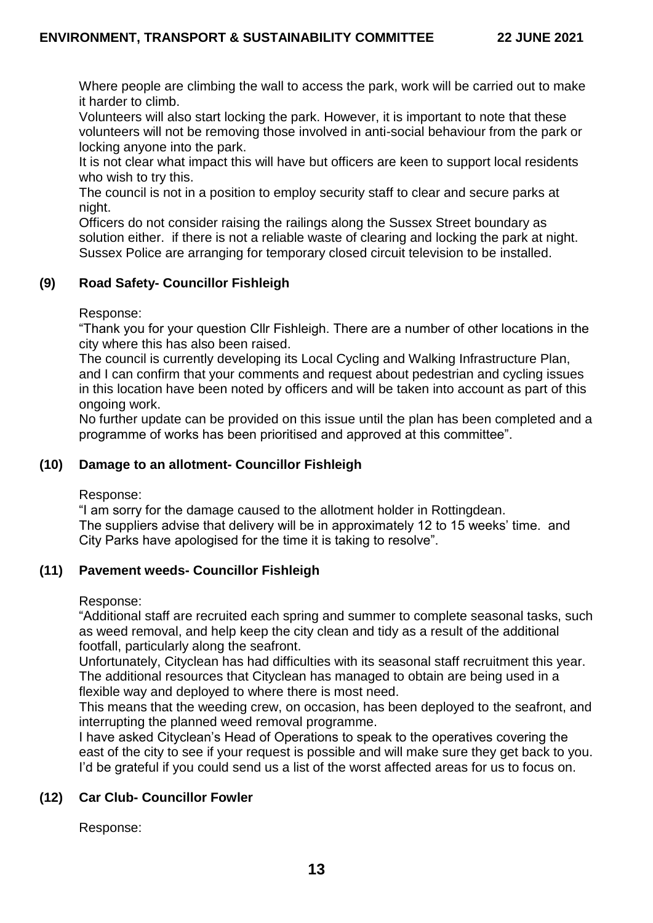Where people are climbing the wall to access the park, work will be carried out to make it harder to climb.

Volunteers will also start locking the park. However, it is important to note that these volunteers will not be removing those involved in anti-social behaviour from the park or locking anyone into the park.

It is not clear what impact this will have but officers are keen to support local residents who wish to try this.

The council is not in a position to employ security staff to clear and secure parks at night.

Officers do not consider raising the railings along the Sussex Street boundary as solution either. if there is not a reliable waste of clearing and locking the park at night. Sussex Police are arranging for temporary closed circuit television to be installed.

# **(9) Road Safety- Councillor Fishleigh**

Response:

"Thank you for your question Cllr Fishleigh. There are a number of other locations in the city where this has also been raised.

The council is currently developing its Local Cycling and Walking Infrastructure Plan, and I can confirm that your comments and request about pedestrian and cycling issues in this location have been noted by officers and will be taken into account as part of this ongoing work.

No further update can be provided on this issue until the plan has been completed and a programme of works has been prioritised and approved at this committee".

## **(10) Damage to an allotment- Councillor Fishleigh**

Response:

"I am sorry for the damage caused to the allotment holder in Rottingdean. The suppliers advise that delivery will be in approximately 12 to 15 weeks' time. and City Parks have apologised for the time it is taking to resolve".

### **(11) Pavement weeds- Councillor Fishleigh**

Response:

"Additional staff are recruited each spring and summer to complete seasonal tasks, such as weed removal, and help keep the city clean and tidy as a result of the additional footfall, particularly along the seafront.

Unfortunately, Cityclean has had difficulties with its seasonal staff recruitment this year. The additional resources that Cityclean has managed to obtain are being used in a flexible way and deployed to where there is most need.

This means that the weeding crew, on occasion, has been deployed to the seafront, and interrupting the planned weed removal programme.

I have asked Cityclean's Head of Operations to speak to the operatives covering the east of the city to see if your request is possible and will make sure they get back to you. I'd be grateful if you could send us a list of the worst affected areas for us to focus on.

### **(12) Car Club- Councillor Fowler**

Response: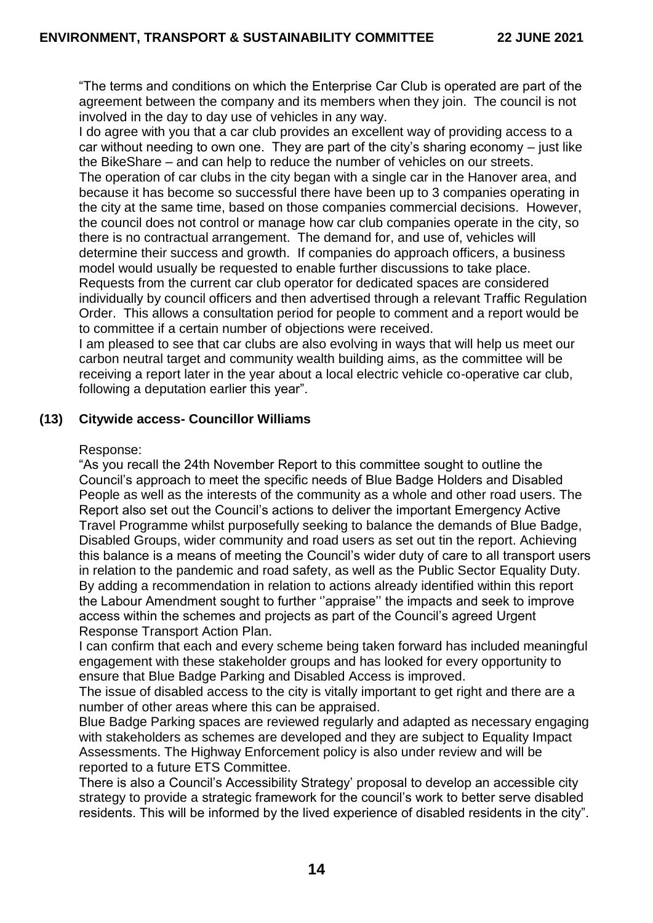"The terms and conditions on which the Enterprise Car Club is operated are part of the agreement between the company and its members when they join. The council is not involved in the day to day use of vehicles in any way.

I do agree with you that a car club provides an excellent way of providing access to a car without needing to own one. They are part of the city's sharing economy – just like the BikeShare – and can help to reduce the number of vehicles on our streets. The operation of car clubs in the city began with a single car in the Hanover area, and because it has become so successful there have been up to 3 companies operating in the city at the same time, based on those companies commercial decisions. However, the council does not control or manage how car club companies operate in the city, so there is no contractual arrangement. The demand for, and use of, vehicles will determine their success and growth. If companies do approach officers, a business model would usually be requested to enable further discussions to take place. Requests from the current car club operator for dedicated spaces are considered individually by council officers and then advertised through a relevant Traffic Regulation Order. This allows a consultation period for people to comment and a report would be to committee if a certain number of objections were received.

I am pleased to see that car clubs are also evolving in ways that will help us meet our carbon neutral target and community wealth building aims, as the committee will be receiving a report later in the year about a local electric vehicle co-operative car club, following a deputation earlier this year".

### **(13) Citywide access- Councillor Williams**

#### Response:

"As you recall the 24th November Report to this committee sought to outline the Council's approach to meet the specific needs of Blue Badge Holders and Disabled People as well as the interests of the community as a whole and other road users. The Report also set out the Council's actions to deliver the important Emergency Active Travel Programme whilst purposefully seeking to balance the demands of Blue Badge, Disabled Groups, wider community and road users as set out tin the report. Achieving this balance is a means of meeting the Council's wider duty of care to all transport users in relation to the pandemic and road safety, as well as the Public Sector Equality Duty. By adding a recommendation in relation to actions already identified within this report the Labour Amendment sought to further ''appraise'' the impacts and seek to improve access within the schemes and projects as part of the Council's agreed Urgent Response Transport Action Plan.

I can confirm that each and every scheme being taken forward has included meaningful engagement with these stakeholder groups and has looked for every opportunity to ensure that Blue Badge Parking and Disabled Access is improved.

The issue of disabled access to the city is vitally important to get right and there are a number of other areas where this can be appraised.

Blue Badge Parking spaces are reviewed regularly and adapted as necessary engaging with stakeholders as schemes are developed and they are subject to Equality Impact Assessments. The Highway Enforcement policy is also under review and will be reported to a future ETS Committee.

There is also a Council's Accessibility Strategy' proposal to develop an accessible city strategy to provide a strategic framework for the council's work to better serve disabled residents. This will be informed by the lived experience of disabled residents in the city".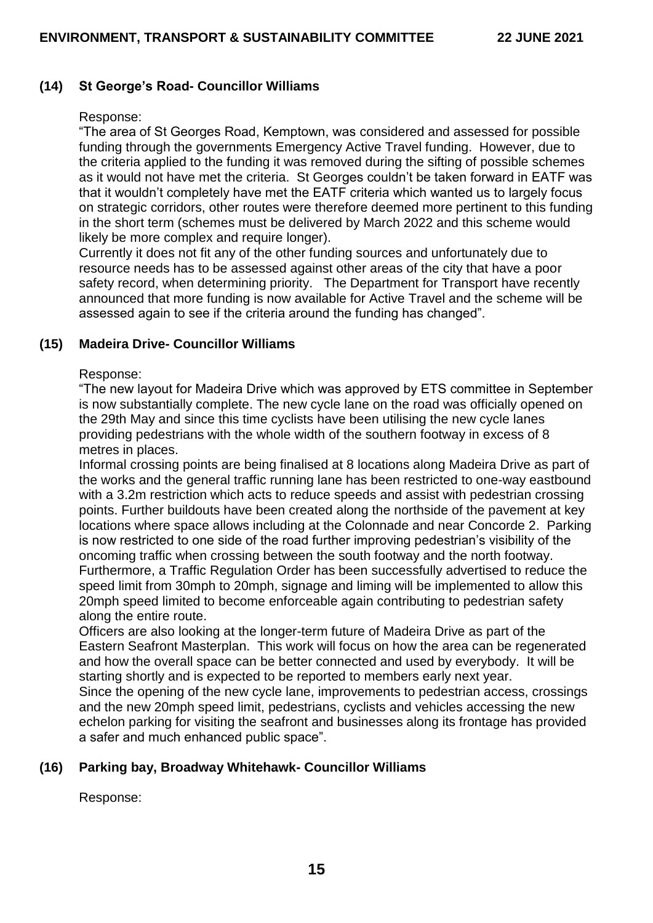## **(14) St George's Road- Councillor Williams**

#### Response:

"The area of St Georges Road, Kemptown, was considered and assessed for possible funding through the governments Emergency Active Travel funding. However, due to the criteria applied to the funding it was removed during the sifting of possible schemes as it would not have met the criteria. St Georges couldn't be taken forward in EATF was that it wouldn't completely have met the EATF criteria which wanted us to largely focus on strategic corridors, other routes were therefore deemed more pertinent to this funding in the short term (schemes must be delivered by March 2022 and this scheme would likely be more complex and require longer).

Currently it does not fit any of the other funding sources and unfortunately due to resource needs has to be assessed against other areas of the city that have a poor safety record, when determining priority. The Department for Transport have recently announced that more funding is now available for Active Travel and the scheme will be assessed again to see if the criteria around the funding has changed".

### **(15) Madeira Drive- Councillor Williams**

#### Response:

"The new layout for Madeira Drive which was approved by ETS committee in September is now substantially complete. The new cycle lane on the road was officially opened on the 29th May and since this time cyclists have been utilising the new cycle lanes providing pedestrians with the whole width of the southern footway in excess of 8 metres in places.

Informal crossing points are being finalised at 8 locations along Madeira Drive as part of the works and the general traffic running lane has been restricted to one-way eastbound with a 3.2m restriction which acts to reduce speeds and assist with pedestrian crossing points. Further buildouts have been created along the northside of the pavement at key locations where space allows including at the Colonnade and near Concorde 2. Parking is now restricted to one side of the road further improving pedestrian's visibility of the oncoming traffic when crossing between the south footway and the north footway. Furthermore, a Traffic Regulation Order has been successfully advertised to reduce the speed limit from 30mph to 20mph, signage and liming will be implemented to allow this 20mph speed limited to become enforceable again contributing to pedestrian safety along the entire route.

Officers are also looking at the longer-term future of Madeira Drive as part of the Eastern Seafront Masterplan. This work will focus on how the area can be regenerated and how the overall space can be better connected and used by everybody. It will be starting shortly and is expected to be reported to members early next year. Since the opening of the new cycle lane, improvements to pedestrian access, crossings and the new 20mph speed limit, pedestrians, cyclists and vehicles accessing the new echelon parking for visiting the seafront and businesses along its frontage has provided a safer and much enhanced public space".

### **(16) Parking bay, Broadway Whitehawk- Councillor Williams**

Response: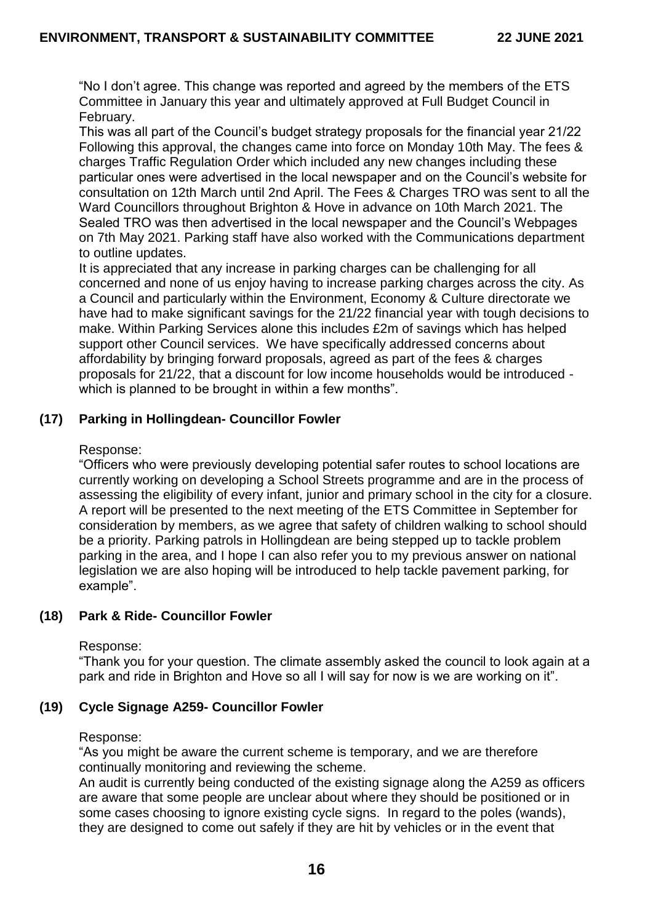"No I don't agree. This change was reported and agreed by the members of the ETS Committee in January this year and ultimately approved at Full Budget Council in February.

This was all part of the Council's budget strategy proposals for the financial year 21/22 Following this approval, the changes came into force on Monday 10th May. The fees & charges Traffic Regulation Order which included any new changes including these particular ones were advertised in the local newspaper and on the Council's website for consultation on 12th March until 2nd April. The Fees & Charges TRO was sent to all the Ward Councillors throughout Brighton & Hove in advance on 10th March 2021. The Sealed TRO was then advertised in the local newspaper and the Council's Webpages on 7th May 2021. Parking staff have also worked with the Communications department to outline updates.

It is appreciated that any increase in parking charges can be challenging for all concerned and none of us enjoy having to increase parking charges across the city. As a Council and particularly within the Environment, Economy & Culture directorate we have had to make significant savings for the 21/22 financial year with tough decisions to make. Within Parking Services alone this includes £2m of savings which has helped support other Council services. We have specifically addressed concerns about affordability by bringing forward proposals, agreed as part of the fees & charges proposals for 21/22, that a discount for low income households would be introduced which is planned to be brought in within a few months".

# **(17) Parking in Hollingdean- Councillor Fowler**

### Response:

"Officers who were previously developing potential safer routes to school locations are currently working on developing a School Streets programme and are in the process of assessing the eligibility of every infant, junior and primary school in the city for a closure. A report will be presented to the next meeting of the ETS Committee in September for consideration by members, as we agree that safety of children walking to school should be a priority. Parking patrols in Hollingdean are being stepped up to tackle problem parking in the area, and I hope I can also refer you to my previous answer on national legislation we are also hoping will be introduced to help tackle pavement parking, for example".

### **(18) Park & Ride- Councillor Fowler**

### Response:

"Thank you for your question. The climate assembly asked the council to look again at a park and ride in Brighton and Hove so all I will say for now is we are working on it".

### **(19) Cycle Signage A259- Councillor Fowler**

#### Response:

"As you might be aware the current scheme is temporary, and we are therefore continually monitoring and reviewing the scheme.

An audit is currently being conducted of the existing signage along the A259 as officers are aware that some people are unclear about where they should be positioned or in some cases choosing to ignore existing cycle signs. In regard to the poles (wands), they are designed to come out safely if they are hit by vehicles or in the event that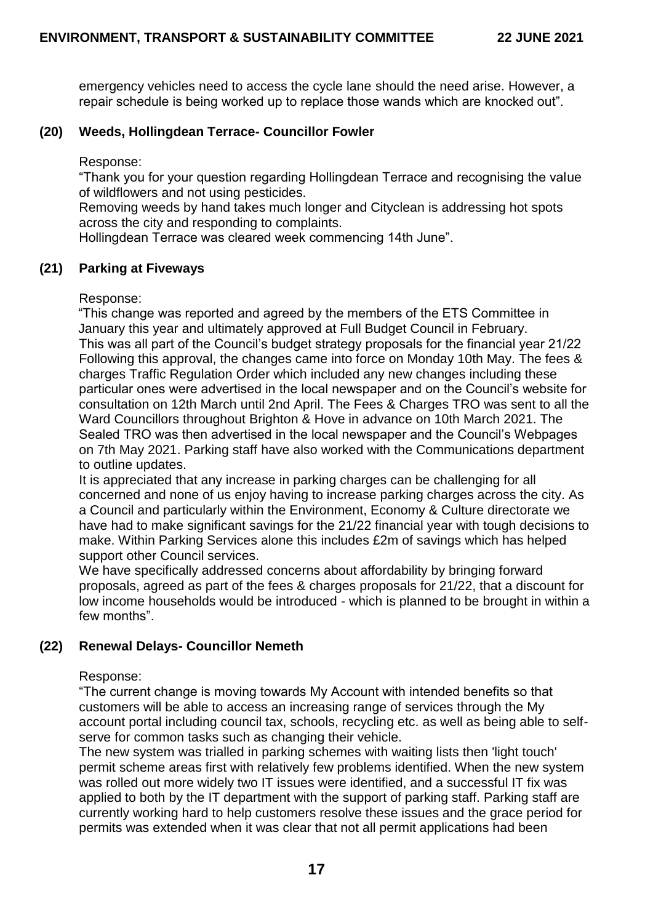emergency vehicles need to access the cycle lane should the need arise. However, a repair schedule is being worked up to replace those wands which are knocked out".

# **(20) Weeds, Hollingdean Terrace- Councillor Fowler**

Response:

"Thank you for your question regarding Hollingdean Terrace and recognising the value of wildflowers and not using pesticides.

Removing weeds by hand takes much longer and Cityclean is addressing hot spots across the city and responding to complaints.

Hollingdean Terrace was cleared week commencing 14th June".

### **(21) Parking at Fiveways**

Response:

"This change was reported and agreed by the members of the ETS Committee in January this year and ultimately approved at Full Budget Council in February. This was all part of the Council's budget strategy proposals for the financial year 21/22 Following this approval, the changes came into force on Monday 10th May. The fees & charges Traffic Regulation Order which included any new changes including these particular ones were advertised in the local newspaper and on the Council's website for consultation on 12th March until 2nd April. The Fees & Charges TRO was sent to all the Ward Councillors throughout Brighton & Hove in advance on 10th March 2021. The Sealed TRO was then advertised in the local newspaper and the Council's Webpages on 7th May 2021. Parking staff have also worked with the Communications department to outline updates.

It is appreciated that any increase in parking charges can be challenging for all concerned and none of us enjoy having to increase parking charges across the city. As a Council and particularly within the Environment, Economy & Culture directorate we have had to make significant savings for the 21/22 financial year with tough decisions to make. Within Parking Services alone this includes £2m of savings which has helped support other Council services.

We have specifically addressed concerns about affordability by bringing forward proposals, agreed as part of the fees & charges proposals for 21/22, that a discount for low income households would be introduced - which is planned to be brought in within a few months".

# **(22) Renewal Delays- Councillor Nemeth**

### Response:

"The current change is moving towards My Account with intended benefits so that customers will be able to access an increasing range of services through the My account portal including council tax, schools, recycling etc. as well as being able to selfserve for common tasks such as changing their vehicle.

The new system was trialled in parking schemes with waiting lists then 'light touch' permit scheme areas first with relatively few problems identified. When the new system was rolled out more widely two IT issues were identified, and a successful IT fix was applied to both by the IT department with the support of parking staff. Parking staff are currently working hard to help customers resolve these issues and the grace period for permits was extended when it was clear that not all permit applications had been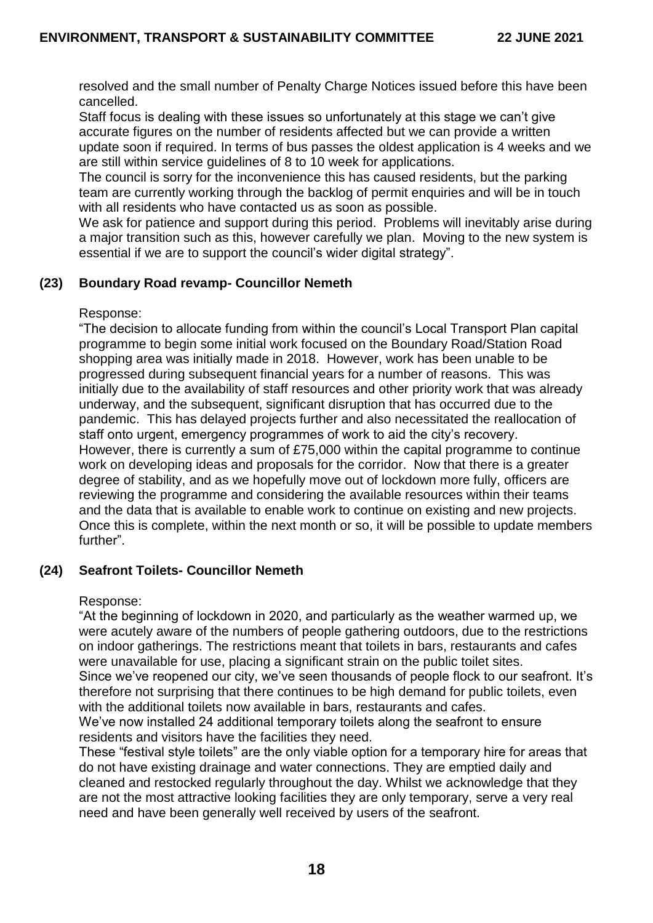resolved and the small number of Penalty Charge Notices issued before this have been cancelled.

Staff focus is dealing with these issues so unfortunately at this stage we can't give accurate figures on the number of residents affected but we can provide a written update soon if required. In terms of bus passes the oldest application is 4 weeks and we are still within service guidelines of 8 to 10 week for applications.

The council is sorry for the inconvenience this has caused residents, but the parking team are currently working through the backlog of permit enquiries and will be in touch with all residents who have contacted us as soon as possible.

We ask for patience and support during this period. Problems will inevitably arise during a major transition such as this, however carefully we plan. Moving to the new system is essential if we are to support the council's wider digital strategy".

# **(23) Boundary Road revamp- Councillor Nemeth**

### Response:

"The decision to allocate funding from within the council's Local Transport Plan capital programme to begin some initial work focused on the Boundary Road/Station Road shopping area was initially made in 2018. However, work has been unable to be progressed during subsequent financial years for a number of reasons. This was initially due to the availability of staff resources and other priority work that was already underway, and the subsequent, significant disruption that has occurred due to the pandemic. This has delayed projects further and also necessitated the reallocation of staff onto urgent, emergency programmes of work to aid the city's recovery. However, there is currently a sum of £75,000 within the capital programme to continue work on developing ideas and proposals for the corridor. Now that there is a greater degree of stability, and as we hopefully move out of lockdown more fully, officers are reviewing the programme and considering the available resources within their teams and the data that is available to enable work to continue on existing and new projects. Once this is complete, within the next month or so, it will be possible to update members further".

### **(24) Seafront Toilets- Councillor Nemeth**

### Response:

"At the beginning of lockdown in 2020, and particularly as the weather warmed up, we were acutely aware of the numbers of people gathering outdoors, due to the restrictions on indoor gatherings. The restrictions meant that toilets in bars, restaurants and cafes were unavailable for use, placing a significant strain on the public toilet sites. Since we've reopened our city, we've seen thousands of people flock to our seafront. It's therefore not surprising that there continues to be high demand for public toilets, even with the additional toilets now available in bars, restaurants and cafes.

We've now installed 24 additional temporary toilets along the seafront to ensure residents and visitors have the facilities they need.

These "festival style toilets" are the only viable option for a temporary hire for areas that do not have existing drainage and water connections. They are emptied daily and cleaned and restocked regularly throughout the day. Whilst we acknowledge that they are not the most attractive looking facilities they are only temporary, serve a very real need and have been generally well received by users of the seafront.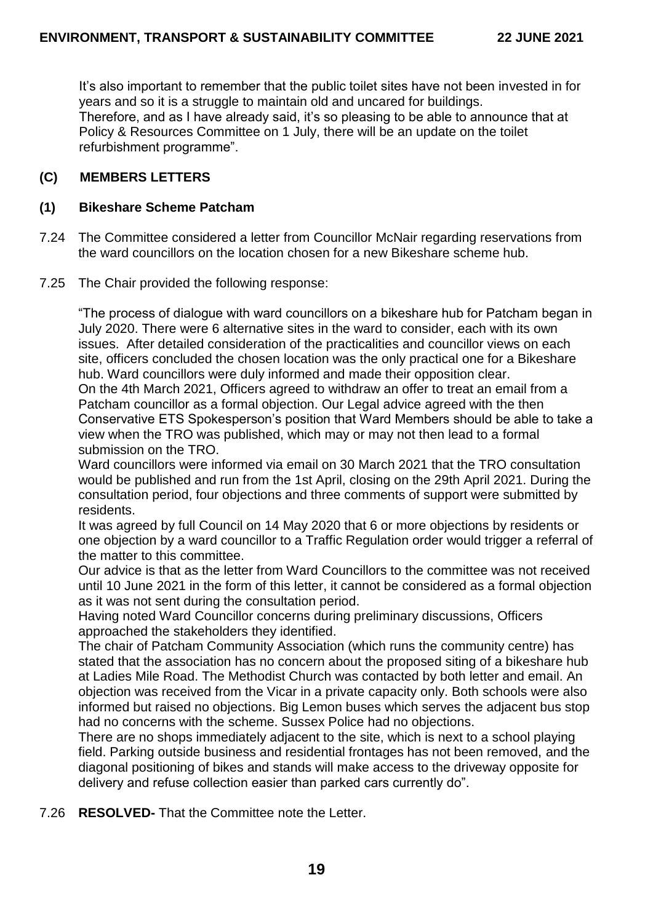It's also important to remember that the public toilet sites have not been invested in for years and so it is a struggle to maintain old and uncared for buildings. Therefore, and as I have already said, it's so pleasing to be able to announce that at Policy & Resources Committee on 1 July, there will be an update on the toilet refurbishment programme".

# **(C) MEMBERS LETTERS**

### **(1) Bikeshare Scheme Patcham**

- 7.24 The Committee considered a letter from Councillor McNair regarding reservations from the ward councillors on the location chosen for a new Bikeshare scheme hub.
- 7.25 The Chair provided the following response:

"The process of dialogue with ward councillors on a bikeshare hub for Patcham began in July 2020. There were 6 alternative sites in the ward to consider, each with its own issues. After detailed consideration of the practicalities and councillor views on each site, officers concluded the chosen location was the only practical one for a Bikeshare hub. Ward councillors were duly informed and made their opposition clear. On the 4th March 2021, Officers agreed to withdraw an offer to treat an email from a Patcham councillor as a formal objection. Our Legal advice agreed with the then Conservative ETS Spokesperson's position that Ward Members should be able to take a view when the TRO was published, which may or may not then lead to a formal submission on the TRO.

Ward councillors were informed via email on 30 March 2021 that the TRO consultation would be published and run from the 1st April, closing on the 29th April 2021. During the consultation period, four objections and three comments of support were submitted by residents.

It was agreed by full Council on 14 May 2020 that 6 or more objections by residents or one objection by a ward councillor to a Traffic Regulation order would trigger a referral of the matter to this committee.

Our advice is that as the letter from Ward Councillors to the committee was not received until 10 June 2021 in the form of this letter, it cannot be considered as a formal objection as it was not sent during the consultation period.

Having noted Ward Councillor concerns during preliminary discussions, Officers approached the stakeholders they identified.

The chair of Patcham Community Association (which runs the community centre) has stated that the association has no concern about the proposed siting of a bikeshare hub at Ladies Mile Road. The Methodist Church was contacted by both letter and email. An objection was received from the Vicar in a private capacity only. Both schools were also informed but raised no objections. Big Lemon buses which serves the adjacent bus stop had no concerns with the scheme. Sussex Police had no objections.

There are no shops immediately adjacent to the site, which is next to a school playing field. Parking outside business and residential frontages has not been removed, and the diagonal positioning of bikes and stands will make access to the driveway opposite for delivery and refuse collection easier than parked cars currently do".

7.26 **RESOLVED-** That the Committee note the Letter.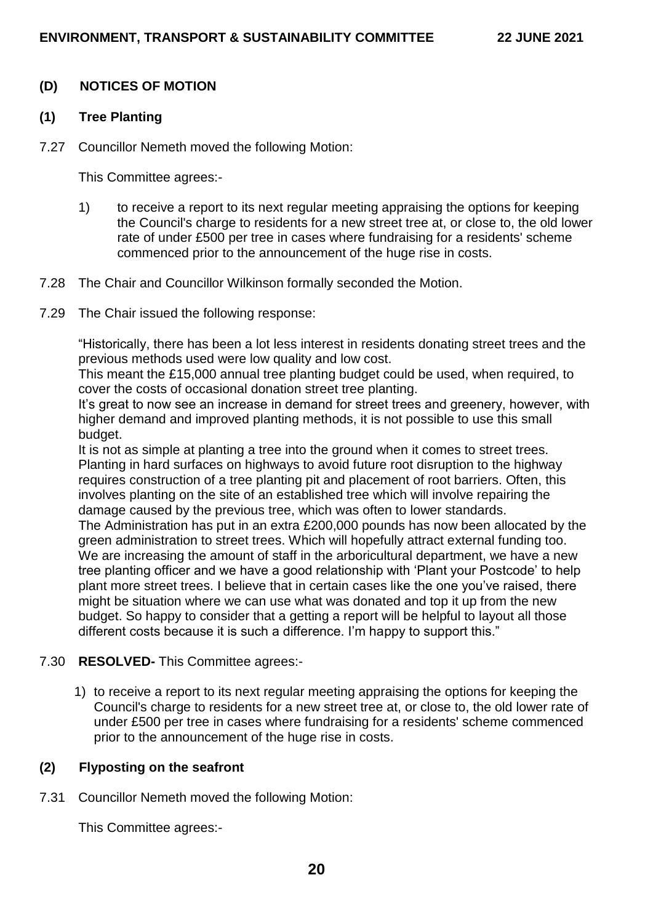# **(D) NOTICES OF MOTION**

#### **(1) Tree Planting**

7.27 Councillor Nemeth moved the following Motion:

This Committee agrees:-

- 1) to receive a report to its next regular meeting appraising the options for keeping the Council's charge to residents for a new street tree at, or close to, the old lower rate of under £500 per tree in cases where fundraising for a residents' scheme commenced prior to the announcement of the huge rise in costs.
- 7.28 The Chair and Councillor Wilkinson formally seconded the Motion.
- 7.29 The Chair issued the following response:

"Historically, there has been a lot less interest in residents donating street trees and the previous methods used were low quality and low cost.

This meant the £15,000 annual tree planting budget could be used, when required, to cover the costs of occasional donation street tree planting.

It's great to now see an increase in demand for street trees and greenery, however, with higher demand and improved planting methods, it is not possible to use this small budget.

It is not as simple at planting a tree into the ground when it comes to street trees. Planting in hard surfaces on highways to avoid future root disruption to the highway requires construction of a tree planting pit and placement of root barriers. Often, this involves planting on the site of an established tree which will involve repairing the damage caused by the previous tree, which was often to lower standards.

The Administration has put in an extra £200,000 pounds has now been allocated by the green administration to street trees. Which will hopefully attract external funding too. We are increasing the amount of staff in the arboricultural department, we have a new tree planting officer and we have a good relationship with 'Plant your Postcode' to help plant more street trees. I believe that in certain cases like the one you've raised, there might be situation where we can use what was donated and top it up from the new budget. So happy to consider that a getting a report will be helpful to layout all those different costs because it is such a difference. I'm happy to support this."

### 7.30 **RESOLVED-** This Committee agrees:-

1) to receive a report to its next regular meeting appraising the options for keeping the Council's charge to residents for a new street tree at, or close to, the old lower rate of under £500 per tree in cases where fundraising for a residents' scheme commenced prior to the announcement of the huge rise in costs.

### **(2) Flyposting on the seafront**

7.31 Councillor Nemeth moved the following Motion:

This Committee agrees:-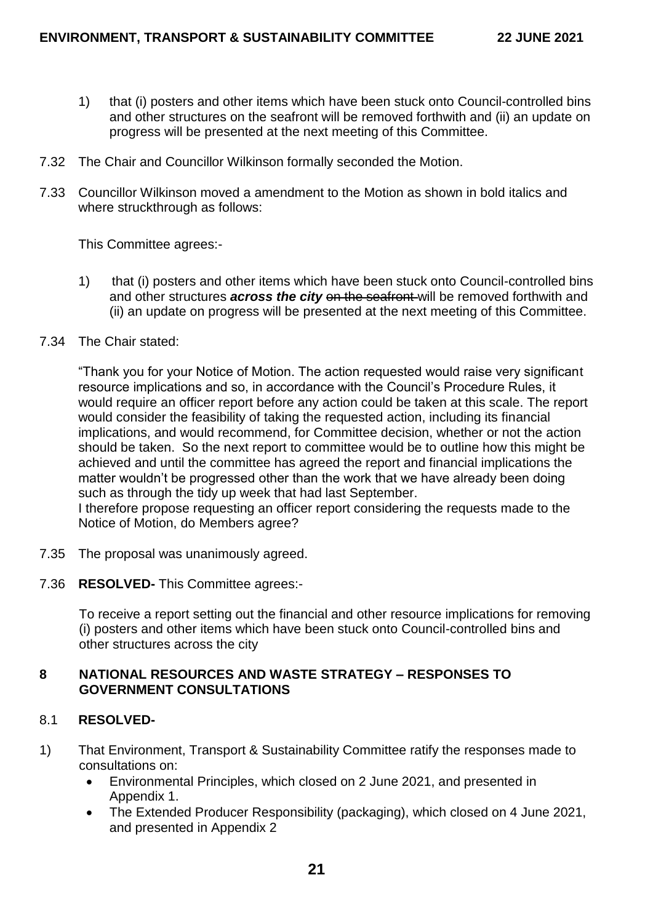- 1) that (i) posters and other items which have been stuck onto Council-controlled bins and other structures on the seafront will be removed forthwith and (ii) an update on progress will be presented at the next meeting of this Committee.
- 7.32 The Chair and Councillor Wilkinson formally seconded the Motion.
- 7.33 Councillor Wilkinson moved a amendment to the Motion as shown in bold italics and where struckthrough as follows:

This Committee agrees:-

- 1) that (i) posters and other items which have been stuck onto Council-controlled bins and other structures **across the city** on the seafront will be removed forthwith and (ii) an update on progress will be presented at the next meeting of this Committee.
- 7.34 The Chair stated:

"Thank you for your Notice of Motion. The action requested would raise very significant resource implications and so, in accordance with the Council's Procedure Rules, it would require an officer report before any action could be taken at this scale. The report would consider the feasibility of taking the requested action, including its financial implications, and would recommend, for Committee decision, whether or not the action should be taken. So the next report to committee would be to outline how this might be achieved and until the committee has agreed the report and financial implications the matter wouldn't be progressed other than the work that we have already been doing such as through the tidy up week that had last September.

I therefore propose requesting an officer report considering the requests made to the Notice of Motion, do Members agree?

- 7.35 The proposal was unanimously agreed.
- 7.36 **RESOLVED-** This Committee agrees:-

To receive a report setting out the financial and other resource implications for removing (i) posters and other items which have been stuck onto Council-controlled bins and other structures across the city

### **8 NATIONAL RESOURCES AND WASTE STRATEGY – RESPONSES TO GOVERNMENT CONSULTATIONS**

### 8.1 **RESOLVED-**

- 1) That Environment, Transport & Sustainability Committee ratify the responses made to consultations on:
	- Environmental Principles, which closed on 2 June 2021, and presented in Appendix 1.
	- The Extended Producer Responsibility (packaging), which closed on 4 June 2021, and presented in Appendix 2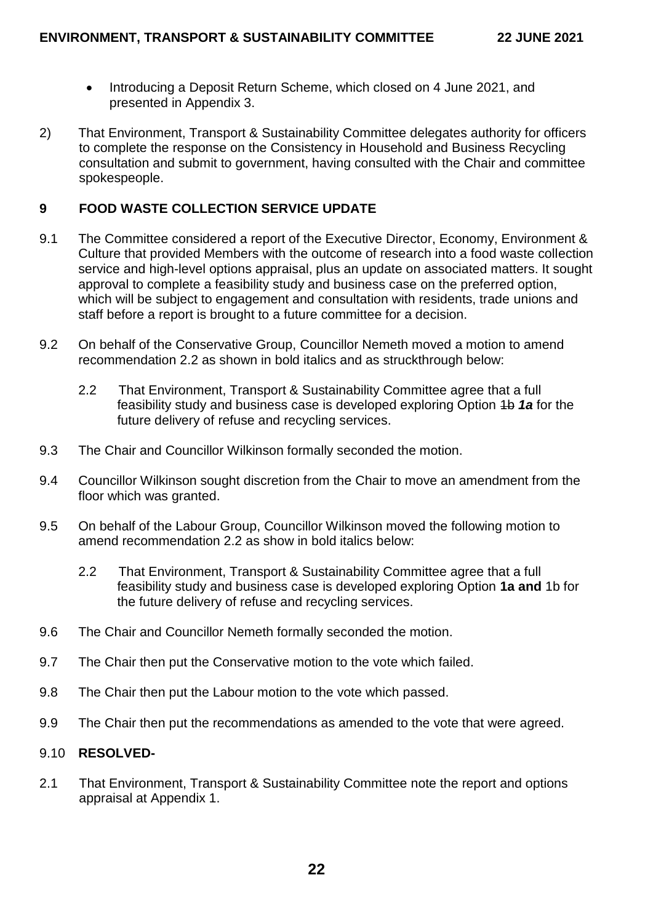- Introducing a Deposit Return Scheme, which closed on 4 June 2021, and presented in Appendix 3.
- 2) That Environment, Transport & Sustainability Committee delegates authority for officers to complete the response on the Consistency in Household and Business Recycling consultation and submit to government, having consulted with the Chair and committee spokespeople.

## **9 FOOD WASTE COLLECTION SERVICE UPDATE**

- 9.1 The Committee considered a report of the Executive Director, Economy, Environment & Culture that provided Members with the outcome of research into a food waste collection service and high-level options appraisal, plus an update on associated matters. It sought approval to complete a feasibility study and business case on the preferred option, which will be subject to engagement and consultation with residents, trade unions and staff before a report is brought to a future committee for a decision.
- 9.2 On behalf of the Conservative Group, Councillor Nemeth moved a motion to amend recommendation 2.2 as shown in bold italics and as struckthrough below:
	- 2.2 That Environment, Transport & Sustainability Committee agree that a full feasibility study and business case is developed exploring Option 1b *1a* for the future delivery of refuse and recycling services.
- 9.3 The Chair and Councillor Wilkinson formally seconded the motion.
- 9.4 Councillor Wilkinson sought discretion from the Chair to move an amendment from the floor which was granted.
- 9.5 On behalf of the Labour Group, Councillor Wilkinson moved the following motion to amend recommendation 2.2 as show in bold italics below:
	- 2.2 That Environment, Transport & Sustainability Committee agree that a full feasibility study and business case is developed exploring Option **1a and** 1b for the future delivery of refuse and recycling services.
- 9.6 The Chair and Councillor Nemeth formally seconded the motion.
- 9.7 The Chair then put the Conservative motion to the vote which failed.
- 9.8 The Chair then put the Labour motion to the vote which passed.
- 9.9 The Chair then put the recommendations as amended to the vote that were agreed.

# 9.10 **RESOLVED-**

2.1 That Environment, Transport & Sustainability Committee note the report and options appraisal at Appendix 1.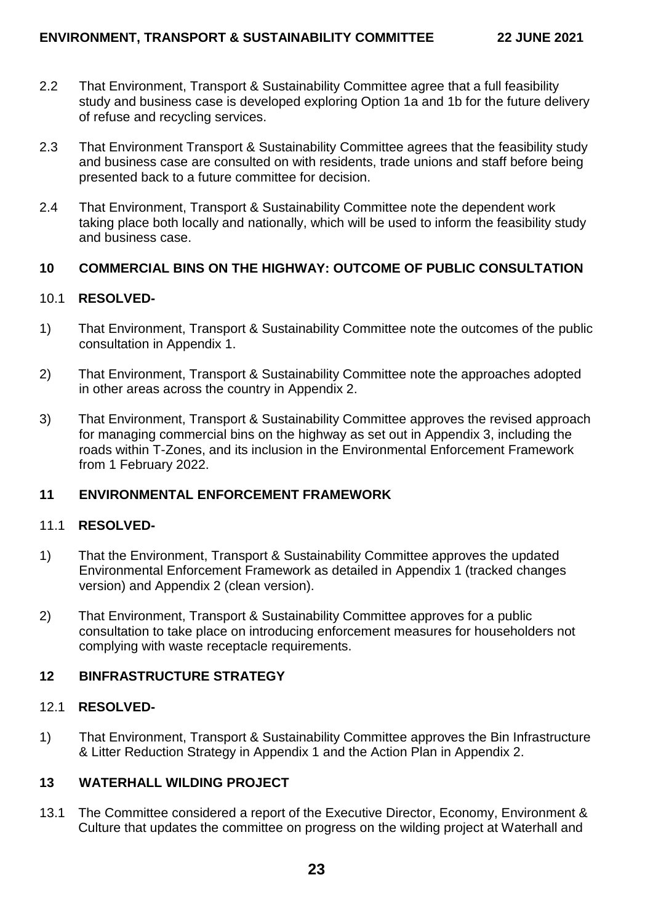- 2.2 That Environment, Transport & Sustainability Committee agree that a full feasibility study and business case is developed exploring Option 1a and 1b for the future delivery of refuse and recycling services.
- 2.3 That Environment Transport & Sustainability Committee agrees that the feasibility study and business case are consulted on with residents, trade unions and staff before being presented back to a future committee for decision.
- 2.4 That Environment, Transport & Sustainability Committee note the dependent work taking place both locally and nationally, which will be used to inform the feasibility study and business case.

# **10 COMMERCIAL BINS ON THE HIGHWAY: OUTCOME OF PUBLIC CONSULTATION**

# 10.1 **RESOLVED-**

- 1) That Environment, Transport & Sustainability Committee note the outcomes of the public consultation in Appendix 1.
- 2) That Environment, Transport & Sustainability Committee note the approaches adopted in other areas across the country in Appendix 2.
- 3) That Environment, Transport & Sustainability Committee approves the revised approach for managing commercial bins on the highway as set out in Appendix 3, including the roads within T-Zones, and its inclusion in the Environmental Enforcement Framework from 1 February 2022.

# **11 ENVIRONMENTAL ENFORCEMENT FRAMEWORK**

### 11.1 **RESOLVED-**

- 1) That the Environment, Transport & Sustainability Committee approves the updated Environmental Enforcement Framework as detailed in Appendix 1 (tracked changes version) and Appendix 2 (clean version).
- 2) That Environment, Transport & Sustainability Committee approves for a public consultation to take place on introducing enforcement measures for householders not complying with waste receptacle requirements.

# **12 BINFRASTRUCTURE STRATEGY**

### 12.1 **RESOLVED-**

1) That Environment, Transport & Sustainability Committee approves the Bin Infrastructure & Litter Reduction Strategy in Appendix 1 and the Action Plan in Appendix 2.

# **13 WATERHALL WILDING PROJECT**

13.1 The Committee considered a report of the Executive Director, Economy, Environment & Culture that updates the committee on progress on the wilding project at Waterhall and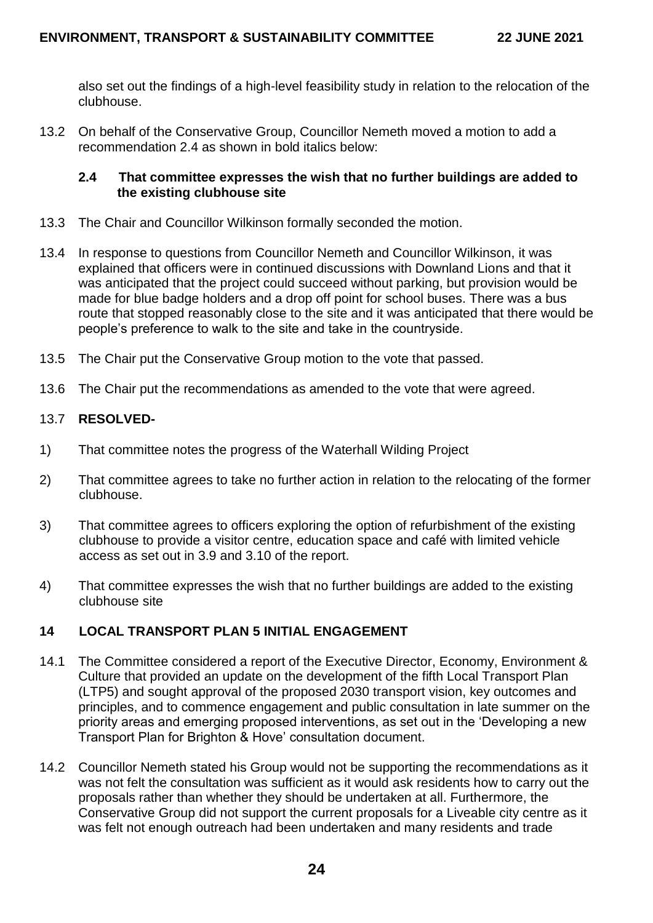also set out the findings of a high-level feasibility study in relation to the relocation of the clubhouse.

13.2 On behalf of the Conservative Group, Councillor Nemeth moved a motion to add a recommendation 2.4 as shown in bold italics below:

## **2.4 That committee expresses the wish that no further buildings are added to the existing clubhouse site**

- 13.3 The Chair and Councillor Wilkinson formally seconded the motion.
- 13.4 In response to questions from Councillor Nemeth and Councillor Wilkinson, it was explained that officers were in continued discussions with Downland Lions and that it was anticipated that the project could succeed without parking, but provision would be made for blue badge holders and a drop off point for school buses. There was a bus route that stopped reasonably close to the site and it was anticipated that there would be people's preference to walk to the site and take in the countryside.
- 13.5 The Chair put the Conservative Group motion to the vote that passed.
- 13.6 The Chair put the recommendations as amended to the vote that were agreed.

# 13.7 **RESOLVED-**

- 1) That committee notes the progress of the Waterhall Wilding Project
- 2) That committee agrees to take no further action in relation to the relocating of the former clubhouse.
- 3) That committee agrees to officers exploring the option of refurbishment of the existing clubhouse to provide a visitor centre, education space and café with limited vehicle access as set out in 3.9 and 3.10 of the report.
- 4) That committee expresses the wish that no further buildings are added to the existing clubhouse site

# **14 LOCAL TRANSPORT PLAN 5 INITIAL ENGAGEMENT**

- 14.1 The Committee considered a report of the Executive Director, Economy, Environment & Culture that provided an update on the development of the fifth Local Transport Plan (LTP5) and sought approval of the proposed 2030 transport vision, key outcomes and principles, and to commence engagement and public consultation in late summer on the priority areas and emerging proposed interventions, as set out in the 'Developing a new Transport Plan for Brighton & Hove' consultation document.
- 14.2 Councillor Nemeth stated his Group would not be supporting the recommendations as it was not felt the consultation was sufficient as it would ask residents how to carry out the proposals rather than whether they should be undertaken at all. Furthermore, the Conservative Group did not support the current proposals for a Liveable city centre as it was felt not enough outreach had been undertaken and many residents and trade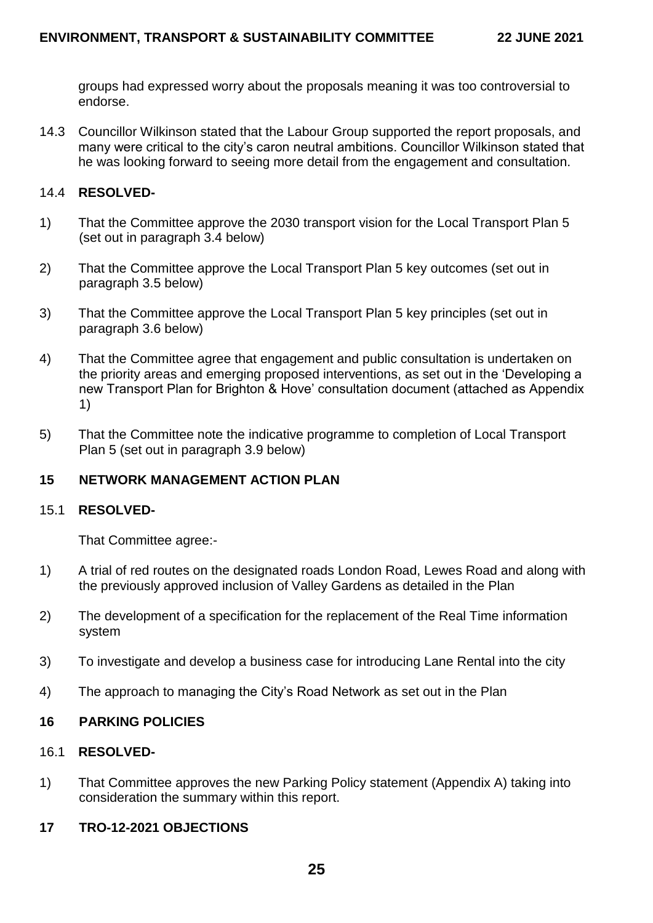groups had expressed worry about the proposals meaning it was too controversial to endorse.

14.3 Councillor Wilkinson stated that the Labour Group supported the report proposals, and many were critical to the city's caron neutral ambitions. Councillor Wilkinson stated that he was looking forward to seeing more detail from the engagement and consultation.

### 14.4 **RESOLVED-**

- 1) That the Committee approve the 2030 transport vision for the Local Transport Plan 5 (set out in paragraph 3.4 below)
- 2) That the Committee approve the Local Transport Plan 5 key outcomes (set out in paragraph 3.5 below)
- 3) That the Committee approve the Local Transport Plan 5 key principles (set out in paragraph 3.6 below)
- 4) That the Committee agree that engagement and public consultation is undertaken on the priority areas and emerging proposed interventions, as set out in the 'Developing a new Transport Plan for Brighton & Hove' consultation document (attached as Appendix 1)
- 5) That the Committee note the indicative programme to completion of Local Transport Plan 5 (set out in paragraph 3.9 below)

# **15 NETWORK MANAGEMENT ACTION PLAN**

#### 15.1 **RESOLVED-**

That Committee agree:-

- 1) A trial of red routes on the designated roads London Road, Lewes Road and along with the previously approved inclusion of Valley Gardens as detailed in the Plan
- 2) The development of a specification for the replacement of the Real Time information system
- 3) To investigate and develop a business case for introducing Lane Rental into the city
- 4) The approach to managing the City's Road Network as set out in the Plan

### **16 PARKING POLICIES**

## 16.1 **RESOLVED-**

1) That Committee approves the new Parking Policy statement (Appendix A) taking into consideration the summary within this report.

### **17 TRO-12-2021 OBJECTIONS**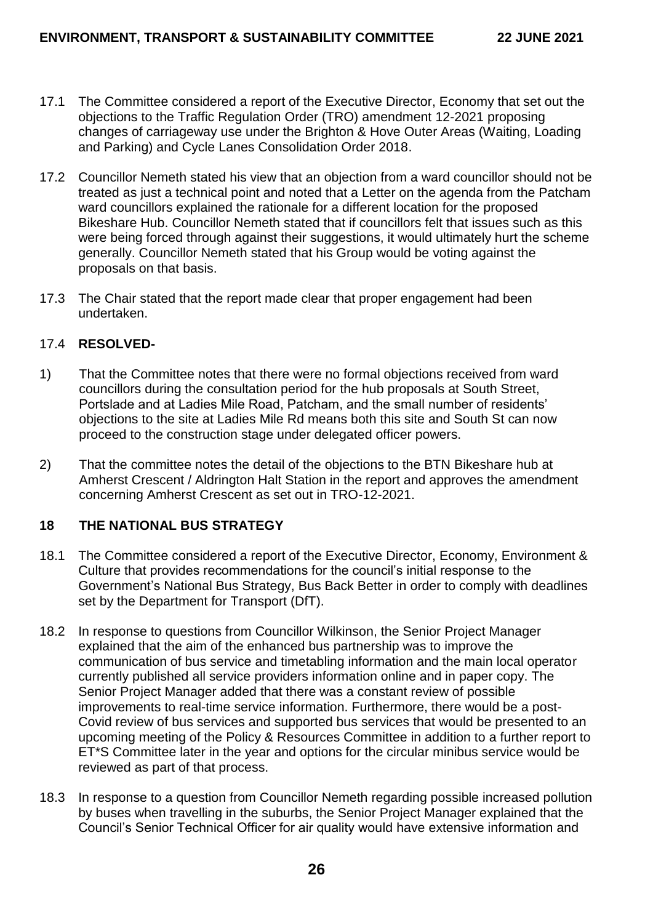- 17.1 The Committee considered a report of the Executive Director, Economy that set out the objections to the Traffic Regulation Order (TRO) amendment 12-2021 proposing changes of carriageway use under the Brighton & Hove Outer Areas (Waiting, Loading and Parking) and Cycle Lanes Consolidation Order 2018.
- 17.2 Councillor Nemeth stated his view that an objection from a ward councillor should not be treated as just a technical point and noted that a Letter on the agenda from the Patcham ward councillors explained the rationale for a different location for the proposed Bikeshare Hub. Councillor Nemeth stated that if councillors felt that issues such as this were being forced through against their suggestions, it would ultimately hurt the scheme generally. Councillor Nemeth stated that his Group would be voting against the proposals on that basis.
- 17.3 The Chair stated that the report made clear that proper engagement had been undertaken.

# 17.4 **RESOLVED-**

- 1) That the Committee notes that there were no formal objections received from ward councillors during the consultation period for the hub proposals at South Street, Portslade and at Ladies Mile Road, Patcham, and the small number of residents' objections to the site at Ladies Mile Rd means both this site and South St can now proceed to the construction stage under delegated officer powers.
- 2) That the committee notes the detail of the objections to the BTN Bikeshare hub at Amherst Crescent / Aldrington Halt Station in the report and approves the amendment concerning Amherst Crescent as set out in TRO-12-2021.

# **18 THE NATIONAL BUS STRATEGY**

- 18.1 The Committee considered a report of the Executive Director, Economy, Environment & Culture that provides recommendations for the council's initial response to the Government's National Bus Strategy, Bus Back Better in order to comply with deadlines set by the Department for Transport (DfT).
- 18.2 In response to questions from Councillor Wilkinson, the Senior Project Manager explained that the aim of the enhanced bus partnership was to improve the communication of bus service and timetabling information and the main local operator currently published all service providers information online and in paper copy. The Senior Project Manager added that there was a constant review of possible improvements to real-time service information. Furthermore, there would be a post-Covid review of bus services and supported bus services that would be presented to an upcoming meeting of the Policy & Resources Committee in addition to a further report to ET\*S Committee later in the year and options for the circular minibus service would be reviewed as part of that process.
- 18.3 In response to a question from Councillor Nemeth regarding possible increased pollution by buses when travelling in the suburbs, the Senior Project Manager explained that the Council's Senior Technical Officer for air quality would have extensive information and